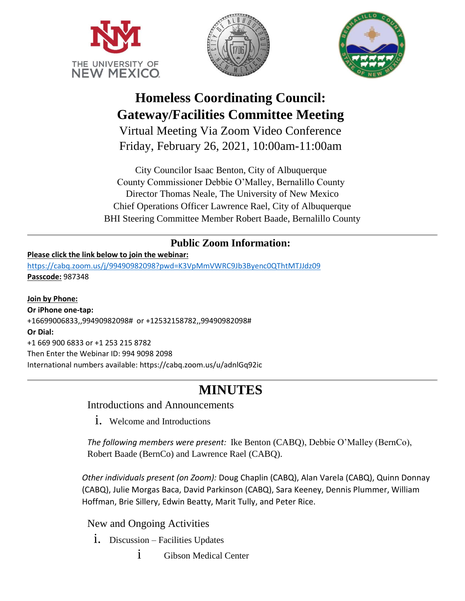





# **Homeless Coordinating Council: Gateway/Facilities Committee Meeting**

Virtual Meeting Via Zoom Video Conference Friday, February 26, 2021, 10:00am-11:00am

City Councilor Isaac Benton, City of Albuquerque County Commissioner Debbie O'Malley, Bernalillo County Director Thomas Neale, The University of New Mexico Chief Operations Officer Lawrence Rael, City of Albuquerque BHI Steering Committee Member Robert Baade, Bernalillo County

### **Public Zoom Information:**

### **Please click the link below to join the webinar:**

<https://cabq.zoom.us/j/99490982098?pwd=K3VpMmVWRC9Jb3Byenc0QThtMTJJdz09> **Passcode:** 987348

**Join by Phone: Or iPhone one-tap:**  +16699006833,,99490982098# or +12532158782,,99490982098# **Or Dial:** +1 669 900 6833 or +1 253 215 8782 Then Enter the Webinar ID: 994 9098 2098 International numbers available: https://cabq.zoom.us/u/adnlGq92ic

## **MINUTES**

Introductions and Announcements

1. Welcome and Introductions

*The following members were present:* Ike Benton (CABQ), Debbie O'Malley (BernCo), Robert Baade (BernCo) and Lawrence Rael (CABQ).

*Other individuals present (on Zoom):* Doug Chaplin (CABQ), Alan Varela (CABQ), Quinn Donnay (CABQ), Julie Morgas Baca, David Parkinson (CABQ), Sara Keeney, Dennis Plummer, William Hoffman, Brie Sillery, Edwin Beatty, Marit Tully, and Peter Rice.

New and Ongoing Activities

- i. Discussion Facilities Updates
	- i Gibson Medical Center